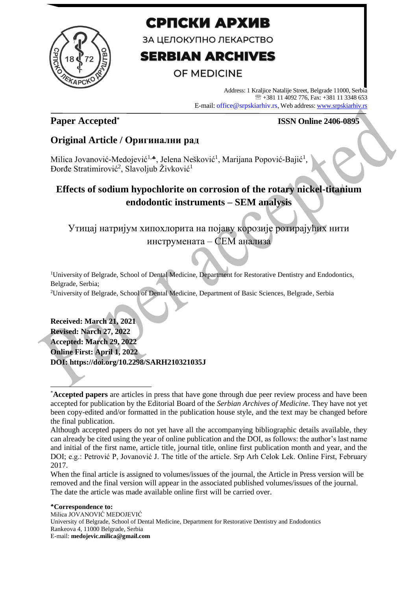

# СРПСКИ АРХИВ

ЗА ЦЕЛОКУПНО ЛЕКАРСТВО

# **SERBIAN ARCHIVES**

# **OF MEDICINE**

Address: 1 Kraljice Natalije Street, Belgrade 11000, Serbia +381 11 4092 776, Fax: +381 11 3348 653 E-mail: office@srpskiarhiv.rs, Web address[: www.srpskiarhiv.rs](http://www.srpskiarhiv.rs/)

## **Paper Accepted\***

### **ISSN Online 2406-0895**

## **Original Article / Оригинални рад**

Milica Jovanović-Medojević<sup>1,</sup>\*, Jelena Nešković<sup>1</sup>, Marijana Popović-Bajić<sup>1</sup> , Đorđe Stratimirović<sup>2</sup>, Slavoljub Živković<sup>1</sup>

# **Effects of sodium hypochlorite on corrosion of the rotary nickel-titanium endodontic instruments – SEM analysis**

# Утицај натријум хипохлорита на појаву корозије ротирајућих нити инструмената – СЕМ анализа

<sup>1</sup>University of Belgrade, School of Dental Medicine, Department for Restorative Dentistry and Endodontics, Belgrade, Serbia;

<sup>2</sup>University of Belgrade, School of Dental Medicine, Department of Basic Sciences, Belgrade, Serbia

**Received: March 21, 2021 Revised: Narch 27, 2022 Accepted: March 29, 2022 Online First: April 1, 2022 DOI: https://doi.org/10.2298/SARH210321035J**

When the final article is assigned to volumes/issues of the journal, the Article in Press version will be removed and the final version will appear in the associated published volumes/issues of the journal. The date the article was made available online first will be carried over.

**Correspondence to:** Milica JOVANOVIĆ MEDOJEVIĆ University of Belgrade, School of Dental Medicine, Department for Restorative Dentistry and Endodontics Rankeova 4, 11000 Belgrade, Serbia E-mail: **medojevic.milica@gmail.com**

<sup>\*</sup>**Accepted papers** are articles in press that have gone through due peer review process and have been accepted for publication by the Editorial Board of the *Serbian Archives of Medicine*. They have not yet been copy-edited and/or formatted in the publication house style, and the text may be changed before the final publication.

Although accepted papers do not yet have all the accompanying bibliographic details available, they can already be cited using the year of online publication and the DOI, as follows: the author's last name and initial of the first name, article title, journal title, online first publication month and year, and the DOI; e.g.: Petrović P, Jovanović J. The title of the article. Srp Arh Celok Lek. Online First, February 2017.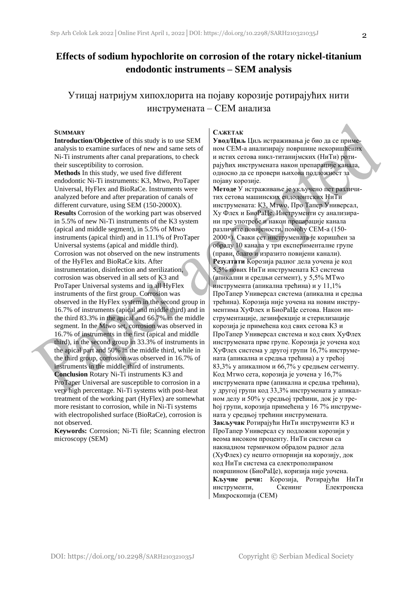### **Effects of sodium hypochlorite on corrosion of the rotary nickel-titanium endodontic instruments – SEM analysis**

### Утицај натријум хипохлорита на појаву корозије ротирајућих нити инструмената – СЕМ анализа

#### **SUMMARY**

**Introduction**/**Objective** of this study is to use SEM analysis to examine surfaces of new and same sets of Ni-Ti instruments after canal preparations, to check their susceptibility to corrosion.

**Methods** In this study, we used five different endodontic Ni-Ti instruments: K3, Mtwo, ProTaper Universal, HyFlex and BioRaCe. Instruments were analyzed before and after preparation of canals of different curvature, using SEM (150-2000X). **Results** Corrosion of the working part was observed in 5.5% of new Ni-Ti instruments of the K3 system (apical and middle segment), in 5.5% of Mtwo instruments (apical third) and in 11.1% of ProTaper Universal systems (apical and middle third). Corrosion was not observed on the new instruments of the HyFlex and BioRaCe kits. After instrumentation, disinfection and sterilization, corrosion was observed in all sets of K3 and ProTaper Universal systems and in all HyFlex instruments of the first group. Corrosion was observed in the HyFlex system in the second group in 16.7% of instruments (apical and middle third) and in the third 83.3% in the apical and 66.7% in the middle segment. In the Mtwo set, corrosion was observed in 16.7% of instruments in the first (apical and middle third), in the second group in 33.3% of instruments in the apical part and 50% in the middle third, while in the third group, corrosion was observed in 16.7% of instruments in the middle third of instruments. **Conclusion** Rotary Ni-Ti instruments K3 and ProTaper Universal are susceptible to corrosion in a very high percentage. Ni-Ti systems with post-heat treatment of the working part (HyFlex) are somewhat more resistant to corrosion, while in Ni-Ti systems with electropolished surface (BioRaCe), corrosion is not observed.

**Keywords:** Corrosion; Ni-Ti file; Scanning electron microscopy (SEM)

#### **САЖЕТАК**

**Увод/Циљ** Циљ истраживања је био да се применом СЕМ-а анализирају површине некоришћених и истих сетова никл-титанијмских (НиТи) ротирајућих инструмената након препарације канала, односно да се провери њихова подложност за појаву корозије.

**Методe** У истраживање је укључено пет различитих сетова машинских ендодонтских НиТи инструмената: К3, Мтwо, Про Тапер Универсал, Хy Флеx и БиоРаЦе. Инструменти су анализирани пре употребе и након препарације канала различите повијености, помоћу СЕМ-а (150- 2000×). Сваки сет инструмената је коришћен за обраду 10 канала у три експерименталне групе (прави, благо и изразито повијени канали). **Резултати** Корозија радног дела уочена је код 5,5% нових НиТи инструмената К3 система (апикални и средњи сегмент), у 5,5% МТwо инструмента (апикална трећина) и у 11,1% ПроТапер Универсал система (апикална и средња трећина). Корозија није уочена на новим инструментима ХyФлеx и БиоРаЦе сетова. Након инструментације, дезинфекције и стерилизације корозија је примећена код свих сетова К3 и ПроТапер Универсал система и код свих ХyФлеx инструмената прве групе. Корозија је уочена код ХyФлеx система у другој групи 16,7% инструмената (апикална и средња трећина) а у трећој 83,3% у апикалном и 66,7% у средњем сегменту. Код Мтwо сета, корозија је уочена у 16,7% инструмената прве (апикална и средња трећина), у другој групи код 33,3% инструмената у апикалном делу и 50% у средњој трећини, док је у трећој групи, корозија примећена у 16 7% инструмената у средњој трећини инструмената. **Закључак** Ротирајући НиТи инструменти К3 и ПроТапер Универсал су подложни корозији у веома високом проценту. НиТи системи са накнадном термичком обрадом радног дела (ХyФлеx) су нешто отпорнији на корозију, док код НиТи система са електрополираном површином (БиоРаЦе), коризија није уочена. **Кључне речи:** Корозија, Ротирајући НиТи инструменти, Скенинг Електронска Микроскопија (СЕМ)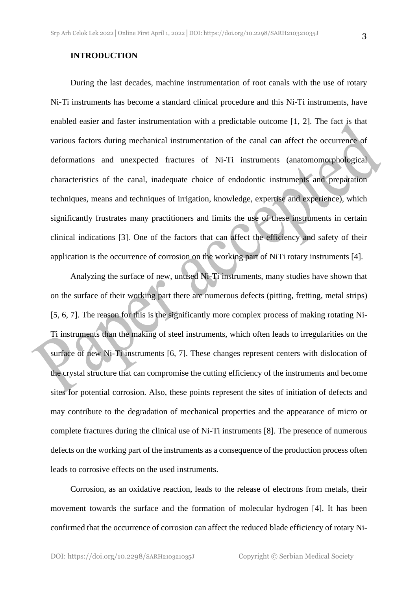During the last decades, machine instrumentation of root canals with the use of rotary Ni-Ti instruments has become a standard clinical procedure and this Ni-Ti instruments, have enabled easier and faster instrumentation with a predictable outcome [1, 2]. The fact is that various factors during mechanical instrumentation of the canal can affect the occurrence of deformations and unexpected fractures of Ni-Ti instruments (anatomomorphological characteristics of the canal, inadequate choice of endodontic instruments and preparation techniques, means and techniques of irrigation, knowledge, expertise and experience), which significantly frustrates many practitioners and limits the use of these instruments in certain clinical indications [3]. One of the factors that can affect the efficiency and safety of their application is the occurrence of corrosion on the working part of NiTi rotary instruments [4].

Analyzing the surface of new, unused Ni-Ti instruments, many studies have shown that on the surface of their working part there are numerous defects (pitting, fretting, metal strips) [5, 6, 7]. The reason for this is the significantly more complex process of making rotating Ni-Ti instruments than the making of steel instruments, which often leads to irregularities on the surface of new Ni-Ti instruments [6, 7]. These changes represent centers with dislocation of the crystal structure that can compromise the cutting efficiency of the instruments and become sites for potential corrosion. Also, these points represent the sites of initiation of defects and may contribute to the degradation of mechanical properties and the appearance of micro or complete fractures during the clinical use of Ni-Ti instruments [8]. The presence of numerous defects on the working part of the instruments as a consequence of the production process often leads to corrosive effects on the used instruments.

Corrosion, as an oxidative reaction, leads to the release of electrons from metals, their movement towards the surface and the formation of molecular hydrogen [4]. It has been confirmed that the occurrence of corrosion can affect the reduced blade efficiency of rotary Ni-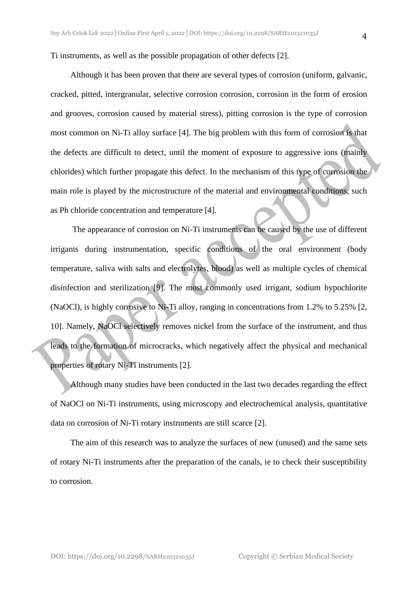Although it has been proven that there are several types of corrosion (uniform, galvanic, cracked, pitted, intergranular, selective corrosion corrosion, corrosion in the form of erosion and grooves, corrosion caused by material stress), pitting corrosion is the type of corrosion most common on Ni-Ti alloy surface [4]. The big problem with this form of corrosion is that the defects are difficult to detect, until the moment of exposure to aggressive ions (mainly chlorides) which further propagate this defect. In the mechanism of this type of corrosion the main role is played by the microstructure of the material and environmental conditions, such as Ph chloride concentration and temperature [4].

The appearance of corrosion on Ni-Ti instruments can be caused by the use of different irrigants during instrumentation, specific conditions of the oral environment (body temperature, saliva with salts and electrolytes, blood) as well as multiple cycles of chemical disinfection and sterilization [9]. The most commonly used irrigant, sodium hypochlorite (NaOCl), is highly corrosive to Ni-Ti alloy, ranging in concentrations from 1.2% to 5.25% [2, 10]. Namely, NaOCl selectively removes nickel from the surface of the instrument, and thus leads to the formation of microcracks, which negatively affect the physical and mechanical properties of rotary Ni-Ti instruments [2].

Although many studies have been conducted in the last two decades regarding the effect of NaOCl on Ni-Ti instruments, using microscopy and electrochemical analysis, quantitative data on corrosion of Ni-Ti rotary instruments are still scarce [2].

The aim of this research was to analyze the surfaces of new (unused) and the same sets of rotary Ni-Ti instruments after the preparation of the canals, ie to check their susceptibility to corrosion.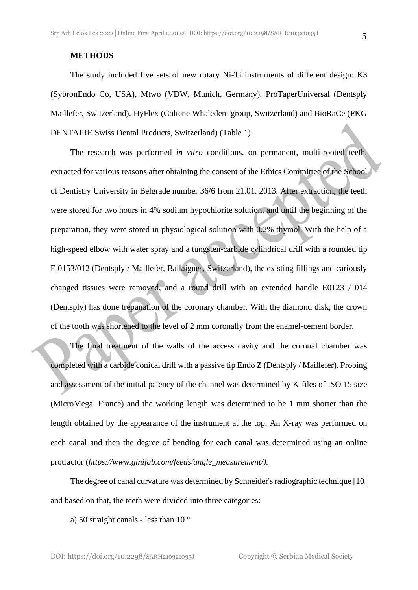#### **METHODS**

The study included five sets of new rotary Ni-Ti instruments of different design: K3 (SybronEndo Co, USA), Mtwo (VDW, Munich, Germany), ProTaperUniversal (Dentsply Maillefer, Switzerland), HyFlex (Coltene Whaledent group, Switzerland) and BioRaCe (FKG DENTAIRE Swiss Dental Products, Switzerland) (Table 1).

The research was performed *in vitro* conditions, on permanent, multi-rooted teeth, extracted for various reasons after obtaining the consent of the Ethics Committee of the School of Dentistry University in Belgrade number 36/6 from 21.01. 2013. After extraction, the teeth were stored for two hours in 4% sodium hypochlorite solution, and until the beginning of the preparation, they were stored in physiological solution with 0.2% thymol. With the help of a high-speed elbow with water spray and a tungsten-carbide cylindrical drill with a rounded tip E 0153/012 (Dentsply / Maillefer, Ballaigues, Switzerland), the existing fillings and cariously changed tissues were removed, and a round drill with an extended handle E0123 / 014 (Dentsply) has done trepanation of the coronary chamber. With the diamond disk, the crown of the tooth was shortened to the level of 2 mm coronally from the enamel-cement border.

The final treatment of the walls of the access cavity and the coronal chamber was completed with a carbide conical drill with a passive tip Endo Z (Dentsply / Maillefer). Probing and assessment of the initial patency of the channel was determined by K-files of ISO 15 size (MicroMega, France) and the working length was determined to be 1 mm shorter than the length obtained by the appearance of the instrument at the top. An X-ray was performed on each canal and then the degree of bending for each canal was determined using an online protractor (*[https://www.ginifab.com/feeds/angle\\_measurement/\)](https://www.ginifab.com/feeds/angle_measurement/).*

The degree of canal curvature was determined by Schneider's radiographic technique [10] and based on that, the teeth were divided into three categories:

a) 50 straight canals - less than 10 °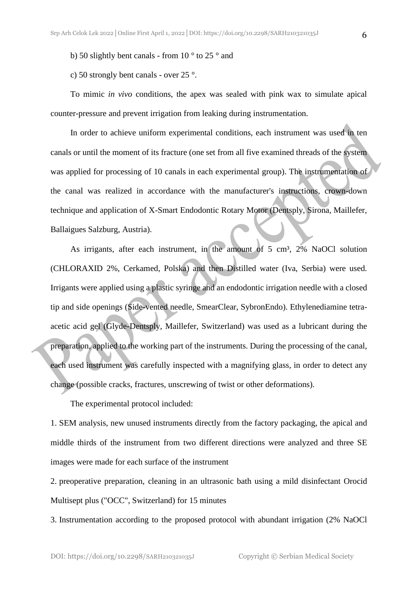b) 50 slightly bent canals - from 10 ° to 25 ° and

c) 50 strongly bent canals - over 25 °.

To mimic *in vivo* conditions, the apex was sealed with pink wax to simulate apical counter-pressure and prevent irrigation from leaking during instrumentation.

In order to achieve uniform experimental conditions, each instrument was used in ten canals or until the moment of its fracture (one set from all five examined threads of the system was applied for processing of 10 canals in each experimental group). The instrumentation of the canal was realized in accordance with the manufacturer's instructions, crown-down technique and application of X-Smart Endodontic Rotary Motor (Dentsply, Sirona, Maillefer, Ballaigues Salzburg, Austria).

As irrigants, after each instrument, in the amount of 5 cm<sup>3</sup>, 2% NaOCl solution (CHLORAXID 2%, Cerkamed, Polska) and then Distilled water (Iva, Serbia) were used. Irrigants were applied using a plastic syringe and an endodontic irrigation needle with a closed tip and side openings (Side-vented needle, SmearClear, SybronEndo). Ethylenediamine tetraacetic acid gel (Glyde-Dentsply, Maillefer, Switzerland) was used as a lubricant during the preparation, applied to the working part of the instruments. During the processing of the canal, each used instrument was carefully inspected with a magnifying glass, in order to detect any change (possible cracks, fractures, unscrewing of twist or other deformations).

The experimental protocol included:

1. SEM analysis, new unused instruments directly from the factory packaging, the apical and middle thirds of the instrument from two different directions were analyzed and three SE images were made for each surface of the instrument

2. preoperative preparation, cleaning in an ultrasonic bath using a mild disinfectant Orocid Multisept plus ("OCC", Switzerland) for 15 minutes

3. Instrumentation according to the proposed protocol with abundant irrigation (2% NaOCl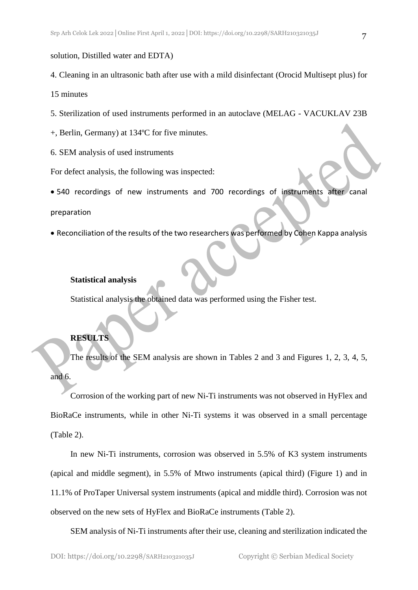solution, Distilled water and EDTA)

4. Cleaning in an ultrasonic bath after use with a mild disinfectant (Orocid Multisept plus) for

15 minutes

- 5. Sterilization of used instruments performed in an autoclave (MELAG VACUKLAV 23B
- +, Berlin, Germany) at 134ºC for five minutes.
- 6. SEM analysis of used instruments

For defect analysis, the following was inspected:

• 540 recordings of new instruments and 700 recordings of instruments after canal

preparation

• Reconciliation of the results of the two researchers was performed by Cohen Kappa analysis

#### **Statistical analysis**

Statistical analysis the obtained data was performed using the Fisher test.

#### **RESULTS**

The results of the SEM analysis are shown in Tables 2 and 3 and Figures 1, 2, 3, 4, 5, and 6.

Corrosion of the working part of new Ni-Ti instruments was not observed in HyFlex and BioRaCe instruments, while in other Ni-Ti systems it was observed in a small percentage (Table 2).

In new Ni-Ti instruments, corrosion was observed in 5.5% of K3 system instruments (apical and middle segment), in 5.5% of Mtwo instruments (apical third) (Figure 1) and in 11.1% of ProTaper Universal system instruments (apical and middle third). Corrosion was not observed on the new sets of HyFlex and BioRaCe instruments (Table 2).

SEM analysis of Ni-Ti instruments after their use, cleaning and sterilization indicated the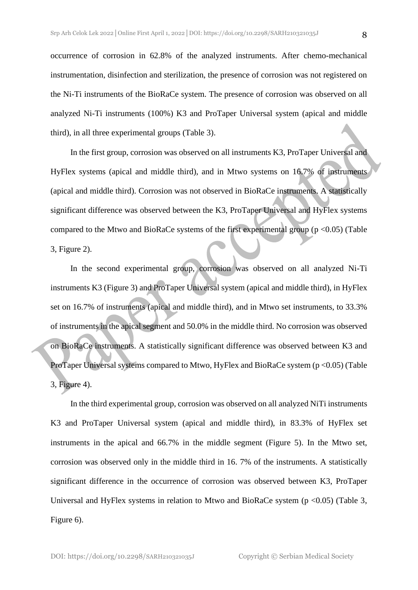occurrence of corrosion in 62.8% of the analyzed instruments. After chemo-mechanical instrumentation, disinfection and sterilization, the presence of corrosion was not registered on the Ni-Ti instruments of the BioRaCe system. The presence of corrosion was observed on all analyzed Ni-Ti instruments (100%) K3 and ProTaper Universal system (apical and middle third), in all three experimental groups (Table 3).

In the first group, corrosion was observed on all instruments K3, ProTaper Universal and HyFlex systems (apical and middle third), and in Mtwo systems on 16.7% of instruments (apical and middle third). Corrosion was not observed in BioRaCe instruments. A statistically significant difference was observed between the K3, ProTaper Universal and HyFlex systems compared to the Mtwo and BioRaCe systems of the first experimental group ( $p \le 0.05$ ) (Table 3, Figure 2).

In the second experimental group, corrosion was observed on all analyzed Ni-Ti instruments K3 (Figure 3) and ProTaper Universal system (apical and middle third), in HyFlex set on 16.7% of instruments (apical and middle third), and in Mtwo set instruments, to 33.3% of instruments in the apical segment and 50.0% in the middle third. No corrosion was observed on BioRaCe instruments. A statistically significant difference was observed between K3 and ProTaper Universal systems compared to Mtwo, HyFlex and BioRaCe system (p < 0.05) (Table 3, Figure 4).

In the third experimental group, corrosion was observed on all analyzed NiTi instruments K3 and ProTaper Universal system (apical and middle third), in 83.3% of HyFlex set instruments in the apical and 66.7% in the middle segment (Figure 5). In the Mtwo set, corrosion was observed only in the middle third in 16. 7% of the instruments. A statistically significant difference in the occurrence of corrosion was observed between K3, ProTaper Universal and HyFlex systems in relation to Mtwo and BioRaCe system ( $p \le 0.05$ ) (Table 3, Figure 6).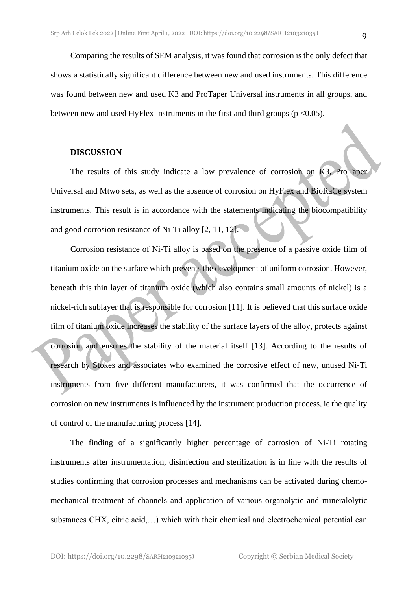#### **DISCUSSION**

The results of this study indicate a low prevalence of corrosion on K3, ProTaper Universal and Mtwo sets, as well as the absence of corrosion on HyFlex and BioRaCe system instruments. This result is in accordance with the statements indicating the biocompatibility and good corrosion resistance of Ni-Ti alloy [2, 11, 12].

Corrosion resistance of Ni-Ti alloy is based on the presence of a passive oxide film of titanium oxide on the surface which prevents the development of uniform corrosion. However, beneath this thin layer of titanium oxide (which also contains small amounts of nickel) is a nickel-rich sublayer that is responsible for corrosion [11]. It is believed that this surface oxide film of titanium oxide increases the stability of the surface layers of the alloy, protects against corrosion and ensures the stability of the material itself [13]. According to the results of research by Stokes and associates who examined the corrosive effect of new, unused Ni-Ti instruments from five different manufacturers, it was confirmed that the occurrence of corrosion on new instruments is influenced by the instrument production process, ie the quality of control of the manufacturing process [14].

The finding of a significantly higher percentage of corrosion of Ni-Ti rotating instruments after instrumentation, disinfection and sterilization is in line with the results of studies confirming that corrosion processes and mechanisms can be activated during chemomechanical treatment of channels and application of various organolytic and mineralolytic substances CHX, citric acid,…) which with their chemical and electrochemical potential can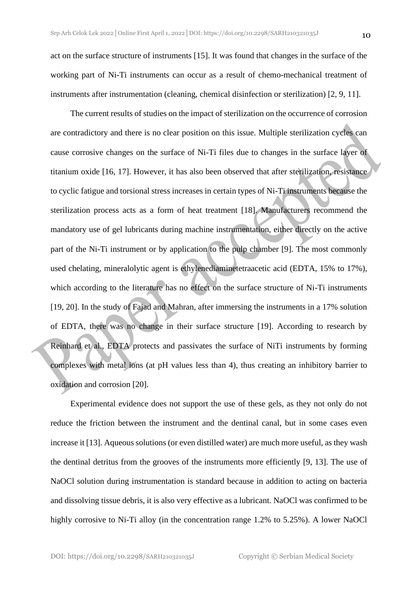act on the surface structure of instruments [15]. It was found that changes in the surface of the working part of Ni-Ti instruments can occur as a result of chemo-mechanical treatment of instruments after instrumentation (cleaning, chemical disinfection or sterilization) [2, 9, 11].

The current results of studies on the impact of sterilization on the occurrence of corrosion are contradictory and there is no clear position on this issue. Multiple sterilization cycles can cause corrosive changes on the surface of Ni-Ti files due to changes in the surface layer of titanium oxide [16, 17]. However, it has also been observed that after sterilization, resistance to cyclic fatigue and torsional stress increases in certain types of Ni-Ti instruments because the sterilization process acts as a form of heat treatment [18]. Manufacturers recommend the mandatory use of gel lubricants during machine instrumentation, either directly on the active part of the Ni-Ti instrument or by application to the pulp chamber [9]. The most commonly used chelating, mineralolytic agent is ethylenediaminetetraacetic acid (EDTA, 15% to 17%), which according to the literature has no effect on the surface structure of Ni-Ti instruments [19, 20]. In the study of Fajad and Mahran, after immersing the instruments in a 17% solution of EDTA, there was no change in their surface structure [19]. According to research by Reinhard et al., EDTA protects and passivates the surface of NiTi instruments by forming complexes with metal ions (at pH values less than 4), thus creating an inhibitory barrier to oxidation and corrosion [20].

Experimental evidence does not support the use of these gels, as they not only do not reduce the friction between the instrument and the dentinal canal, but in some cases even increase it [13]. Aqueous solutions (or even distilled water) are much more useful, as they wash the dentinal detritus from the grooves of the instruments more efficiently [9, 13]. The use of NaOCl solution during instrumentation is standard because in addition to acting on bacteria and dissolving tissue debris, it is also very effective as a lubricant. NaOCl was confirmed to be highly corrosive to Ni-Ti alloy (in the concentration range 1.2% to 5.25%). A lower NaOCl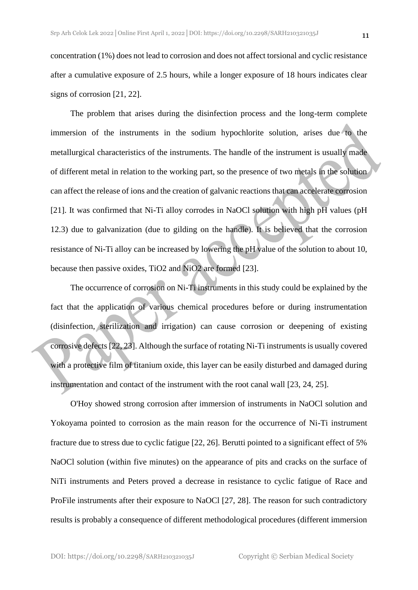concentration (1%) does not lead to corrosion and does not affect torsional and cyclic resistance after a cumulative exposure of 2.5 hours, while a longer exposure of 18 hours indicates clear signs of corrosion [21, 22].

The problem that arises during the disinfection process and the long-term complete immersion of the instruments in the sodium hypochlorite solution, arises due to the metallurgical characteristics of the instruments. The handle of the instrument is usually made of different metal in relation to the working part, so the presence of two metals in the solution can affect the release of ions and the creation of galvanic reactions that can accelerate corrosion [21]. It was confirmed that Ni-Ti alloy corrodes in NaOCl solution with high pH values (pH 12.3) due to galvanization (due to gilding on the handle). It is believed that the corrosion resistance of Ni-Ti alloy can be increased by lowering the pH value of the solution to about 10, because then passive oxides, TiO2 and NiO2 are formed [23].

The occurrence of corrosion on Ni-Ti instruments in this study could be explained by the fact that the application of various chemical procedures before or during instrumentation (disinfection, sterilization and irrigation) can cause corrosion or deepening of existing corrosive defects [22, 23]. Although the surface of rotating Ni-Ti instruments is usually covered with a protective film of titanium oxide, this layer can be easily disturbed and damaged during instrumentation and contact of the instrument with the root canal wall [23, 24, 25].

O'Hoy showed strong corrosion after immersion of instruments in NaOCl solution and Yokoyama pointed to corrosion as the main reason for the occurrence of Ni-Ti instrument fracture due to stress due to cyclic fatigue [22, 26]. Berutti pointed to a significant effect of 5% NaOCl solution (within five minutes) on the appearance of pits and cracks on the surface of NiTi instruments and Peters proved a decrease in resistance to cyclic fatigue of Race and ProFile instruments after their exposure to NaOCl [27, 28]. The reason for such contradictory results is probably a consequence of different methodological procedures (different immersion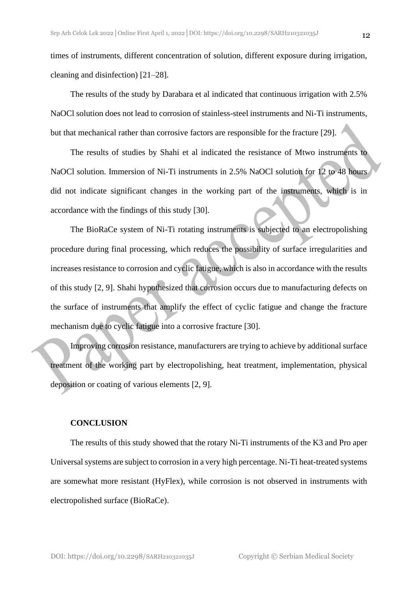times of instruments, different concentration of solution, different exposure during irrigation, cleaning and disinfection) [21–28].

The results of the study by Darabara et al indicated that continuous irrigation with 2.5% NaOCl solution does not lead to corrosion of stainless-steel instruments and Ni-Ti instruments, but that mechanical rather than corrosive factors are responsible for the fracture [29].

The results of studies by Shahi et al indicated the resistance of Mtwo instruments to NaOCl solution. Immersion of Ni-Ti instruments in 2.5% NaOCl solution for 12 to 48 hours did not indicate significant changes in the working part of the instruments, which is in accordance with the findings of this study [30].

The BioRaCe system of Ni-Ti rotating instruments is subjected to an electropolishing procedure during final processing, which reduces the possibility of surface irregularities and increases resistance to corrosion and cyclic fatigue, which is also in accordance with the results of this study [2, 9]. Shahi hypothesized that corrosion occurs due to manufacturing defects on the surface of instruments that amplify the effect of cyclic fatigue and change the fracture mechanism due to cyclic fatigue into a corrosive fracture [30].

Improving corrosion resistance, manufacturers are trying to achieve by additional surface treatment of the working part by electropolishing, heat treatment, implementation, physical deposition or coating of various elements [2, 9].

#### **CONCLUSION**

The results of this study showed that the rotary Ni-Ti instruments of the K3 and Pro aper Universal systems are subject to corrosion in a very high percentage. Ni-Ti heat-treated systems are somewhat more resistant (HyFlex), while corrosion is not observed in instruments with electropolished surface (BioRaCe).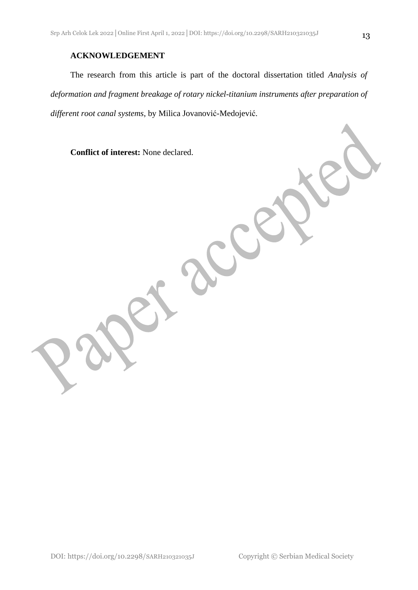### **ACKNOWLEDGEMENT**

The research from this article is part of the doctoral dissertation titled *Analysis of deformation and fragment breakage of rotary nickel-titanium instruments after preparation of different root canal systems*, by Milica Jovanović-Medojević.

**Conflict of interest:** None declared.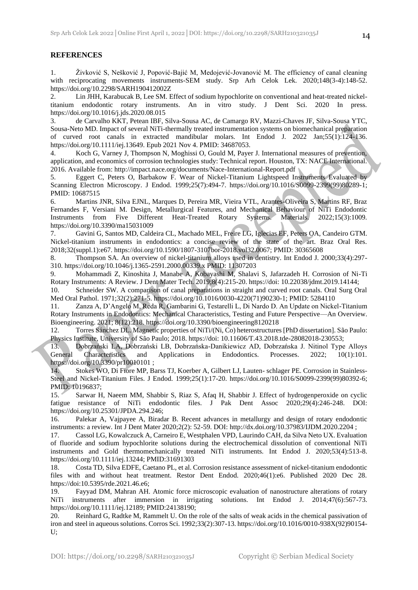#### **REFERENCES**

1. Živković S, Nešković J, Popović-Bajić M, Medojević-Jovanović M. The efficiency of canal cleaning with reciprocating movements instruments-SEM study. Srp Arh Celok Lek. 2020;148(3-4):148-52. https://doi.org/10.2298/SARH190412002Z

2. Lin JHH, Karabucak B, Lee SM. Effect of sodium hypochlorite on conventional and heat-treated nickeltitanium endodontic rotary instruments. An in vitro study. J Dent Sci. 2020 In press. https://doi.org/10.1016/j.jds.2020.08.015

3. de Carvalho KKT, Petean IBF, Silva-Sousa AC, de Camargo RV, Mazzi-Chaves JF, Silva-Sousa YTC, Sousa-Neto MD. Impact of several NiTi-thermally treated instrumentation systems on biomechanical preparation of curved root canals in extracted mandibular molars. Int Endod J. 2022 Jan;55(1):124-136. https://doi.org/10.1111/iej.13649. Epub 2021 Nov 4. PMID: 34687053.

4. Koch G, Varney J, Thompson N, Moghissi O, Gould M, Payer J. International measures of prevention, application, and economics of corrosion technologies study: Technical report. Houston, TX: NACE International. 2016. Available from: http://impact.nace.org/documents/Nace-International-Report.pdf

5. Eggert C, Peters O, Barbakow F. Wear of Nickel-Titanium Lightspeed Instruments Evaluated by Scanning Electron Microscopy. J Endod. 1999;25(7):494-7. https://doi.org/10.1016/S0099-2399(99)80289-1; PMID: 10687515

6. Martins JNR, Silva EJNL, Marques D, Pereira MR, Vieira VTL, Arantes-Oliveira S, Martins RF, Braz Fernandes F, Versiani M. Design, Metallurgical Features, and Mechanical Behaviour of NiTi Endodontic Instruments from Five Different Heat-Treated Rotary Systems. Materials. 2022;15(3):1009. https://doi.org/10.3390/ma15031009

7. Gavini G, Santos MD, Caldeira CL, Machado MEL, Freire LG, Iglecias EF, Peters OA, Candeiro GTM. Nickel-titanium instruments in endodontics: a concise review of the state of the art. Braz Oral Res. 2018;32(suppl.1):e67. https://doi.org/10.1590/1807-3107bor-2018.vol32.0067; PMID: 30365608

8. Thompson SA. An overview of nickel-titanium alloys used in dentistry. Int Endod J. 2000;33(4):297- 310. https://doi.org/10.1046/j.1365-2591.2000.00339.x PMID: 11307203

9. Mohammadi Z, Kinoshita J, Manabe A, Kobayashi M, Shalavi S, Jafarzadeh H. Corrosion of Ni-Ti Rotary Instruments: A Review. J Dent Mater Tech. 2019;8(4):215-20. https://doi: 10.22038/jdmt.2019.14144;

10. Schneider SW. A comparison of canal preparations in straight and curved root canals. Oral Surg Oral Med Oral Pathol. 1971;32(2):271-5. https://doi.org/10.1016/0030-4220(71)90230-1; PMID: 5284110

11. Zanza A, D'Angelo M, Reda R, Gambarini G, Testarelli L, Di Nardo D. An Update on Nickel-Titanium Rotary Instruments in Endodontics: Mechanical Characteristics, Testing and Future Perspective—An Overview. Bioengineering. 2021; 8(12):218. https://doi.org/10.3390/bioengineering8120218

12. Torres Sánchez DL. Magnetic properties of NiTi/(Ni, Co) heterostructures [PhD dissertation]. São Paulo: Physics Institute, University of São Paulo; 2018. https://doi: 10.11606/T.43.2018.tde-28082018-230553;

13. Dobrzański LA, Dobrzański LB, Dobrzańska-Danikiewicz AD, Dobrzańska J. Nitinol Type Alloys General Characteristics and Applications in Endodontics. Processes. 2022; 10(1):101. https://doi.org/10.3390/pr10010101;

14. Stokes WO, Di Fiore MP, Barss TJ, Koerber A, Gilbert LJ, Lauten- schlager PE. Corrosion in Stainless-Steel and Nickel-Titanium Files. J Endod. 1999;25(1):17-20. https://doi.org/10.1016/S0099-2399(99)80392-6; PMID: 10196837;

15. Sarwar H, Naeem MM, Shabbir S, Riaz S, Afaq H, Shabbir J. Effect of hydrogenperoxide on cyclic fatigue resistance of NiTi endodontic files. J Pak Dent Assoc 2020;29(4):246-248. DOI: https://doi.org/10.25301/JPDA.294.246;

16. Palekar A, Vajpayee A, Biradar B. Recent advances in metallurgy and design of rotary endodontic instruments: a review. Int J Dent Mater 2020;2(2): 52-59. DOI: http://dx.doi.org/10.37983/IJDM.2020.2204 ;

17. Cassol LG, Kowalczuck A, Carneiro E, Westphalen VPD, Laurindo CAH, da Silva Neto UX. Evaluation of fluoride and sodium hypochlorite solutions during the electrochemical dissolution of conventional NiTi instruments and Gold thermomechanically treated NiTi instruments. Int Endod J. 2020;53(4):513-8. https://doi.org/10.1111/iej.13244; PMID:31691303

18. Costa TD, Silva EDFE, Caetano PL, et al. Corrosion resistance assessment of nickel-titanium endodontic files with and without heat treatment. Restor Dent Endod. 2020;46(1):e6. Published 2020 Dec 28. https://doi:10.5395/rde.2021.46.e6;

19. Fayyad DM, Mahran AH. Atomic force microscopic evaluation of nanostructure alterations of rotary NiTi instruments after immersion in irrigating solutions. Int Endod J. 2014;47(6):567-73. https://doi.org/10.1111/iej.12189; PMID:24138190;

20. Reinhard G, Radtke M, Rammelt U. On the role of the salts of weak acids in the chemical passivation of iron and steel in aqueous solutions. Corros Sci. 1992;33(2):307-13. https://doi.org/10.1016/0010-938X(92)90154- U;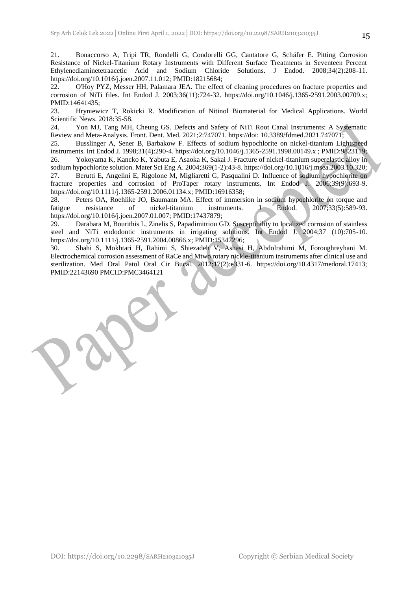21. Bonaccorso A, Tripi TR, Rondelli G, Condorelli GG, Cantatore G, Schäfer E. Pitting Corrosion Resistance of Nickel-Titanium Rotary Instruments with Different Surface Treatments in Seventeen Percent Ethylenediaminetetraacetic Acid and Sodium Chloride Solutions. J Endod. 2008;34(2):208-11. https://doi.org/10.1016/j.joen.2007.11.012; PMID:18215684;

22. O'Hoy PYZ, Messer HH, Palamara JEA. The effect of cleaning procedures on fracture properties and corrosion of NiTi files. Int Endod J. 2003;36(11):724-32. https://doi.org/10.1046/j.1365-2591.2003.00709.x; PMID:14641435;

23. Hryniewicz T, Rokicki R. Modification of Nitinol Biomaterial for Medical Applications. World Scientific News. 2018:35-58.

24. Yon MJ, Tang MH, Cheung GS. Defects and Safety of NiTi Root Canal Instruments: A Systematic Review and Meta-Analysis. Front. Dent. Med. 2021;2:747071. https://doi: 10.3389/fdmed.2021.747071;

25. Busslinger A, Sener B, Barbakow F. Effects of sodium hypochlorite on nickel-titanium Lightspeed instruments. Int Endod J. 1998;31(4):290-4. https://doi.org/10.1046/j.1365-2591.1998.00149.x ; PMID:9823119; 26. Yokoyama K, Kancko K, Yabuta E, Asaoka K, Sakai J. Fracture of nickel-titanium superelastic alloy in sodium hypochlorite solution. Mater Sci Eng A. 2004;369(1-2):43-8. https://doi.org/10.1016/j.msea.2003.10.320; 27. Berutti E, Angelini E, Rigolone M, Migliaretti G, Pasqualini D. Influence of sodium hypochlorite on fracture properties and corrosion of ProTaper rotary instruments. Int Endod J. 2006;39(9):693-9. https://doi.org/10.1111/j.1365-2591.2006.01134.x; PMID:16916358;

28. Peters OA, Roehlike JO, Baumann MA. Effect of immersion in sodium hypochlorite on torque and fatigue resistance of nickel-titanium instruments. J Endod. 2007;33(5):589-93. https://doi.org/10.1016/j.joen.2007.01.007; PMID:17437879;

29. Darabara M, Bourithis L, Zinelis S, Papadimitriou GD. Susceptibility to localized corrosion of stainless steel and NiTi endodontic instruments in irrigating solutions. Int Endod J. 2004;37 (10):705-10. https://doi.org/10.1111/j.1365-2591.2004.00866.x; PMID:15347296;

30. Shahi S, Mokhtari H, Rahimi S, Shiezadeh V, Ashasi H, Abdolrahimi M, Foroughreyhani M. Electrochemical corrosion assessment of RaCe and Mtwo rotary nickle-titanium instruments after clinical use and sterilization. Med Oral Patol Oral Cir Bucal. 2012;17(2):e331-6. https://doi.org/10.4317/medoral.17413; PMID:22143690 PMCID:PMC3464121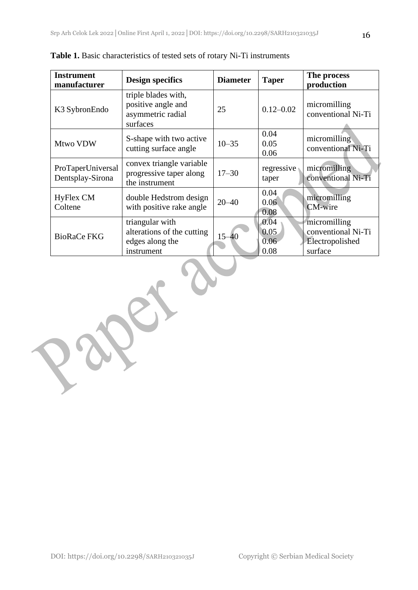| <b>Instrument</b><br>manufacturer     | <b>Design specifics</b>                                                        | <b>Diameter</b> | Taper                        | The process<br>production                                        |  |
|---------------------------------------|--------------------------------------------------------------------------------|-----------------|------------------------------|------------------------------------------------------------------|--|
| K3 SybronEndo                         | triple blades with,<br>positive angle and<br>asymmetric radial<br>surfaces     | 25              | $0.12 - 0.02$                | micromilling<br>conventional Ni-Ti                               |  |
| Mtwo VDW                              | S-shape with two active<br>cutting surface angle                               | $10 - 35$       | 0.04<br>0.05<br>0.06         | micromilling<br>conventional Ni-Ti                               |  |
| ProTaperUniversal<br>Dentsplay-Sirona | convex triangle variable<br>progressive taper along<br>the instrument          | $17 - 30$       | regressive<br>taper          | micromilling<br>conventional Ni-Ti                               |  |
| <b>HyFlex CM</b><br>Coltene           | double Hedstrom design<br>with positive rake angle                             | $20 - 40$       | 0.04<br>0.06<br>0.08         | micromilling<br><b>CM-wire</b>                                   |  |
| <b>BioRaCe FKG</b>                    | triangular with<br>alterations of the cutting<br>edges along the<br>instrument | $15 - 40$       | 0.04<br>0.05<br>0.06<br>0.08 | micromilling<br>conventional Ni-Ti<br>Electropolished<br>surface |  |

**Table 1.** Basic characteristics of tested sets of rotary Ni-Ti instruments

instrument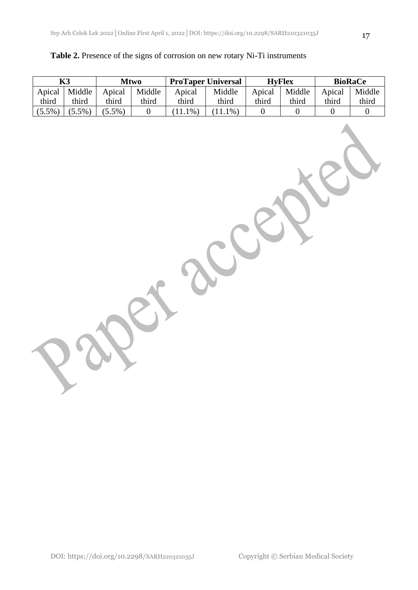|  |  | Table 2. Presence of the signs of corrosion on new rotary Ni-Ti instruments |
|--|--|-----------------------------------------------------------------------------|
|  |  |                                                                             |

|           | K3        | <b>Mtwo</b> |                  |            | <b>ProTaper Universal</b> |                  | <b>HyFlex</b>    |                  | <b>BioRaCe</b>   |
|-----------|-----------|-------------|------------------|------------|---------------------------|------------------|------------------|------------------|------------------|
| Apical    | Middle    | Apical      | Middle           | Apical     | Middle                    | Apical           | Middle           | Apical           | Middle           |
| third     | third     | third       | third            | third      | third                     | third            | third            | third            | third            |
| $(5.5\%)$ | $(5.5\%)$ | $(5.5\%)$   | $\boldsymbol{0}$ | $(11.1\%)$ | $(11.1\%)$                | $\boldsymbol{0}$ | $\boldsymbol{0}$ | $\boldsymbol{0}$ | $\boldsymbol{0}$ |
|           |           |             |                  |            |                           |                  |                  |                  |                  |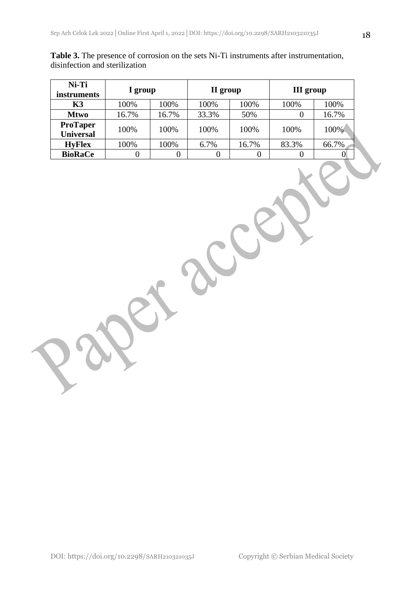| Ni-Ti<br><i>instruments</i> | I group |       | II group |       | <b>III</b> group |       |  |
|-----------------------------|---------|-------|----------|-------|------------------|-------|--|
| K3                          | 100%    | 100%  | 100%     | 100%  | 100%             | 100%  |  |
| <b>Mtwo</b>                 | 16.7%   | 16.7% | 33.3%    | 50%   |                  | 16.7% |  |
| <b>ProTaper</b>             | 100%    | 100%  | 100%     | 100%  | 100%             | 100%  |  |
| <b>Universal</b>            |         |       |          |       |                  |       |  |
| <b>HyFlex</b>               | 100%    | 100%  | 6.7%     | 16.7% | 83.3%            | 66.7% |  |
| <b>BioRaCe</b>              |         |       |          |       |                  | O     |  |

**Table 3.** The presence of corrosion on the sets Ni-Ti instruments after instrumentation, disinfection and sterilization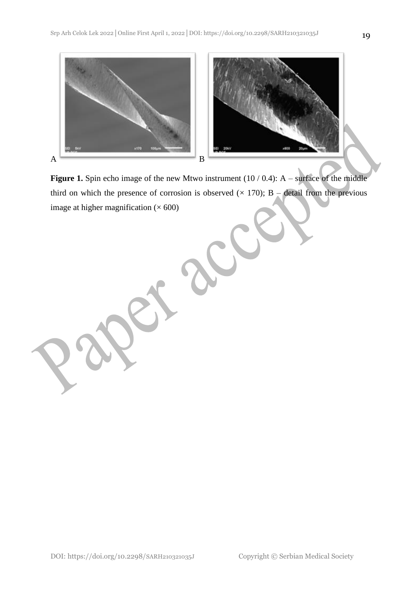

**Figure 1.** Spin echo image of the new Mtwo instrument (10 / 0.4): A – surface of the middle third on which the presence of corrosion is observed  $(\times 170)$ ; B – detail from the previous image at higher magnification  $(\times 600)$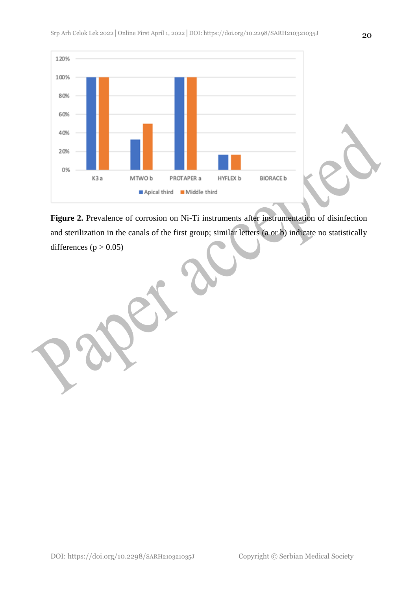

**Figure 2.** Prevalence of corrosion on Ni-Ti instruments after instrumentation of disinfection and sterilization in the canals of the first group; similar letters (a or b) indicate no statistically differences ( $p > 0.05$ )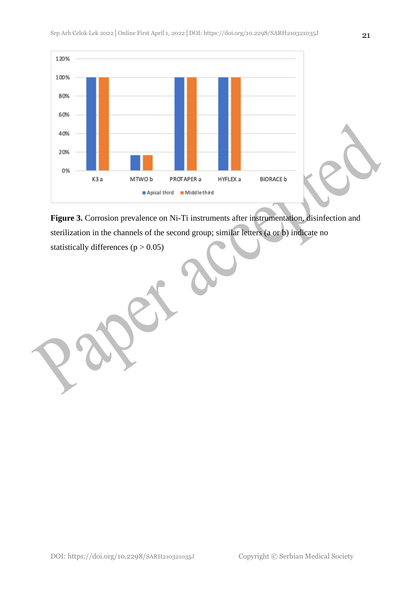

**Figure 3.** Corrosion prevalence on Ni-Ti instruments after instrumentation, disinfection and sterilization in the channels of the second group; similar letters (a or b) indicate no

statistically differences  $(p > 0.05)$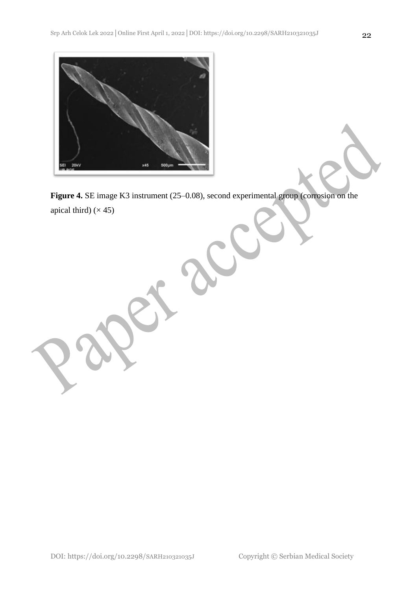

**Figure 4.** SE image K3 instrument (25–0.08), second experimental group (corrosion on the apical third)  $(\times 45)$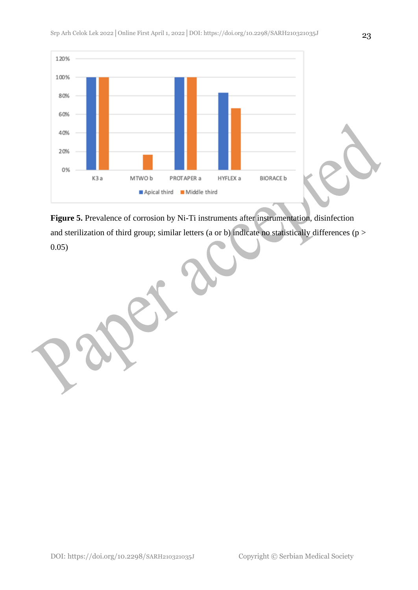

**Figure 5.** Prevalence of corrosion by Ni-Ti instruments after instrumentation, disinfection and sterilization of third group; similar letters (a or b) indicate no statistically differences (p > 0.05)